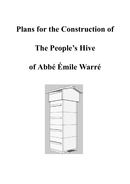## **Plans for the Construction of**

## **The People's Hive**

# **of Abbé Émile Warré**

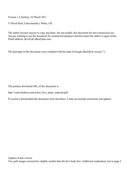Version 1.2 (Inches), 16 March 2011

© David Heaf, Llanystumdwy, Wales, UK

The author licenses anyone to copy and share, but not modify, this document for non-commercial use. Anyone wishing to use the document for commercial purposes should contact the author to agree terms. Email address: david (at) dheaf.plus.com.

The drawings in this document were compiled with the help of Google SketchUp version 7.1.

The primary download URL of this document is:

http://warre.biobees.com/warre\_hive\_plans\_imperial.pdf.

If you have downloaded this document from elsewhere, it may not include corrections and updates.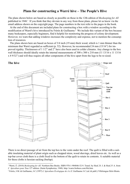## **Plans for constructing a Warré hive – The People's Hive**

The plans shown below are based as closely as possible on those in the 12th edition of *Beekeeping for All* published in 1948.<sup>1</sup> If you think that they deviate in any way from those plans, please let us know via the email address shown on the copyright page. The page numbers in the text refer to the pages in the book.

At the end of this document are included plans for constructing a box with a window according to the modification of Warré's hive introduced by Frèrès & Guillaume.<sup>2</sup> We include this variant of the box because many beekeepers, especially beginners, find it helpful for monitoring the progress of colony development. However, we warn that adding windows increases the complexity and expense, not to mention the consumption of resources.

The plans shown here are based on boxes of 3/4 inch (19 mm) thick wood, which is 1 mm thinner than the minimum that Warré regarded as sufficient (p. 52). However, he recommended 24 mm (15/16") for improved rigidity. Thicknesses of 1 1/2" and 2" have also been used in colder climates. Any change to the box wall thickness should ideally retain the internal measurements of 300 x 300 x 210 mm (11 13/16 x 11 13/16 x 8 9/32") and will thus require all other components of the hive apart from the legs to be re-sized.



There is no direct passage of air from the top box to the vents under the roof. The quilt is filled with a suitable insulating material of plant origin such as chopped straw, wood shavings, dried leaves etc. As well as a top-bar cover cloth there is a cloth fixed to the bottom of the quilt to retain its contents. A suitable material for these cloths is hessian sacking (burlap).

<sup>&</sup>lt;sup>1</sup> Warré, É. (2010) *Beekeeping for All*. Northern Bee Books. ISBN 978-1-904846-52-9. Transl. by Heaf, D. J. & Heaf, P. A. from *L' Apiculture pour Tous* 12th edition. (Saint-Symphorien, 1948). http://warre.biobees.com/bfa.htm.

<sup>2</sup> Frèrès, J-M. & Guillaume, J-C (1997) *L'Apiculture Écologique de A à Z*. Guillaume J-C (ed. & publ.) Villelongue-Dels-Monts.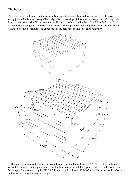### **The boxes**

The basic box is butt-jointed at the corners. Nailing with seven galvanised nails 2 1/2" x 1/10" makes a strong joint. Glue is unnecessary. Obviously half-joints or finger joints make a stronger box, although this increases the complexity. Warré does not specify the size of the handles, but 12" x 3/4" x 3/4" bars, fixed with three nails and glued have been found to work well in practice, including when lifting the entire hive with the bottom box handles. The upper edge of the bars may be sloped to shed rainwater.



 The spacing between all bars and between the end bars and the walls is 15/32". The rebates can be cut with a table saw, a rebating plane or even with a hand saw provided that a guide is affixed to the wood first. Warré specifies a top-bar length of 12 3/8". If it is extended close to 12 9/16", then it better spans the rebates and leaves no cavity for pests to occupy.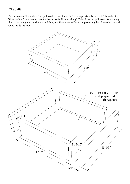## **The quilt**

The thickness of the walls of the quilt could be as little as 3/8" as it supports only the roof. The authentic Warré quilt is 5 mm smaller than the boxes 'to facilitate working'. This allows the quilt contents retaining cloth to be brought up outside the quilt box, and fixed there without compromising the 10 mm clearance all round inside the roof.

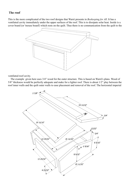## **The roof**

This is the more complicated of the two roof designs that Warré presents in *Beekeeping for All*. It has a ventilated cavity immediately under the upper surfaces of the roof. This is to dissipate solar heat. Inside is a cover board (or 'mouse board') which rests on the quilt. Thus there is no communication from the quilt to the



ventilated roof cavity.

 The example given here uses 3/4" wood for the outer structure. This is based on Warré's plans. Wood of 5/8" thickness would be perfectly adequate and make for a lighter roof. There is about 1/2" play between the roof inner walls and the quilt outer walls to ease placement and removal of the roof. The horizontal imperial

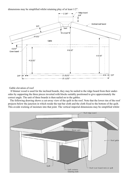dimensions may be simplified whilst retaining play of at least 1/2".



Gable elevation of roof

 If thinner wood is used for the inclined boards, they may be nailed to the ridge board from their undersides by supporting the three pieces inverted with blocks suitably positioned to give approximately the correct angle. The unit of three boards is then nailed on to the gables.

The following drawing shows a cut-away view of the quilt in the roof. Note that the lower rim of the roof projects below the junction in which reside the top-bar cloth and the cloth fixed to the bottom of the quilt. This avoids wicking of moisture into that joint. The vertical imperial dimensions may be simplified whilst

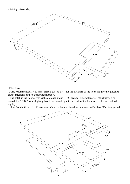retaining this overlap.



#### **The floor**

 Warré recommended 15-20 mm (approx. 5/8" to 3/4") for the thickness of the floor. He gave no guidance on the thickness of the battens underneath it.

The notch in the floor serves as the entrance and is 1 1/2" deep for hive walls of 3/4" thickness. If required, the 6 5/16" wide alighting board can extend right to the back of the floor to give the latter added rigidity.

Note that the floor is 1/16" narrower in both horizontal directions compared with a box. Warré suggested

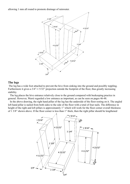allowing 1 mm all round to promote drainage of rainwater.



#### **The legs**

 The leg has a wide foot attached to prevent the hive from sinking into the ground and possibly toppling. Furthermore it gives a 3/4"-1 5/32" projection outside the footprint of the floor, thus greatly increasing stability.

The leg places the hive entrance relatively close to the ground compared with beekeeping practice in general. However, Warré regarded a low entrance as important, as can be seen on pages 46-48.

In the above drawing, the right hand pillar of the leg has the underside of the floor resting on it. The angled left hand pillar is nailed from both sides to the side of the floor with a total of four nails. The difference in height of the right and left pillars is approximately 1" which will work for the floor corner overall thickness of 1 3/8" shown above. If the floor corner is less than 1" thick, then the right pillar should be lengthened

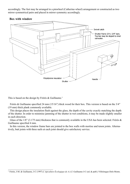accordingly. The feet may be arranged in a pinwheel (Catherine-wheel) arrangement or constructed as two mirror symmetrical pairs and placed in mirror symmetry accordingly.



## **Box with window**

This is based on the design by Frèrès & Guillaume.<sup>3</sup>

Frèrès & Guillaume specified 24 mm (15/16") thick wood for their box. This version is based on the 3/4" (19 mm) thick plank commonly available.

This design places the insulation flush against the glass, the depth of the cavity exactly matching the depth of the shutter. In order to minimise jamming of the shutter in wet conditions, it may be made slightly smaller in each direction.

Glass of the  $1/8$ " (3.175 mm) thickness that is commonly available in the USA has been selected. Frèrès  $\&$ Guillaume specified 4 mm.

In this version, the window frame bars are jointed to the box walls with mortise and tenon joints. Alternatively, butt joints with three nails at each joint should give satisfactory service.

<sup>3</sup> Frèrès, J-M. & Guillaume, J-C (1997) *L'Apiculture Écologique de A à Z*. Guillaume J-C (ed. & publ.) Villelongue-Dels-Monts.